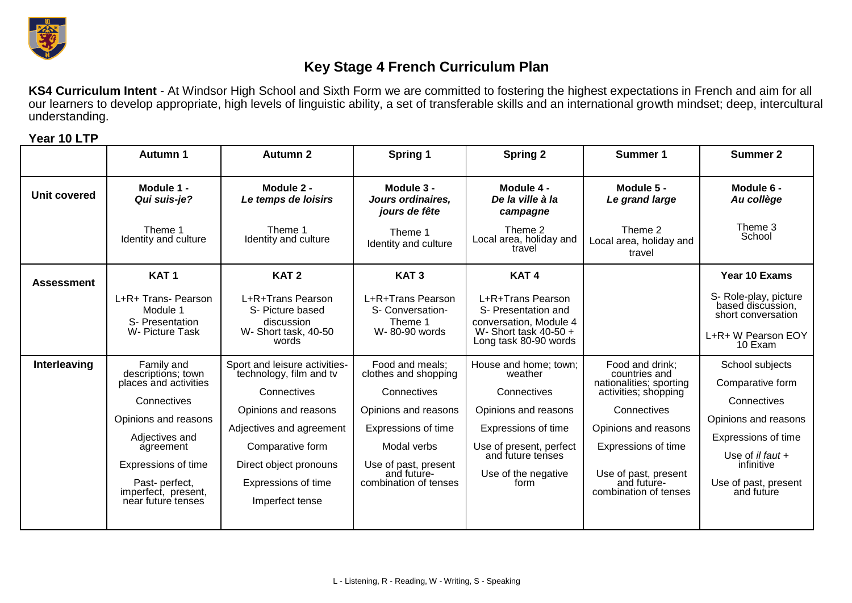

## **Key Stage 4 French Curriculum Plan**

**KS4 Curriculum Intent** - At Windsor High School and Sixth Form we are committed to fostering the highest expectations in French and aim for all our learners to develop appropriate, high levels of linguistic ability, a set of transferable skills and an international growth mindset; deep, intercultural understanding.

**Year 10 LTP**

|                     | Autumn 1                                                                                                                                                                                                              | <b>Autumn 2</b>                                                                                                                                                                                                     | Spring 1                                                                                                                                                                             | <b>Spring 2</b>                                                                                                                                                               | Summer 1                                                                                                                                                                                                          | Summer 2                                                                                                                                                                    |
|---------------------|-----------------------------------------------------------------------------------------------------------------------------------------------------------------------------------------------------------------------|---------------------------------------------------------------------------------------------------------------------------------------------------------------------------------------------------------------------|--------------------------------------------------------------------------------------------------------------------------------------------------------------------------------------|-------------------------------------------------------------------------------------------------------------------------------------------------------------------------------|-------------------------------------------------------------------------------------------------------------------------------------------------------------------------------------------------------------------|-----------------------------------------------------------------------------------------------------------------------------------------------------------------------------|
| <b>Unit covered</b> | Module 1 -<br>Qui suis-je?                                                                                                                                                                                            | Module 2 -<br>Le temps de loisirs                                                                                                                                                                                   | Module 3 -<br>Jours ordinaires,<br>jours de fête                                                                                                                                     | Module 4 -<br>De la ville à la<br>campagne                                                                                                                                    | Module 5 -<br>Le grand large                                                                                                                                                                                      | Module 6 -<br>Au collège                                                                                                                                                    |
|                     | Theme 1<br>Identity and culture                                                                                                                                                                                       | Theme 1<br>Identity and culture                                                                                                                                                                                     | Theme 1<br>Identity and culture                                                                                                                                                      | Theme 2<br>Local area, holiday and<br>travel                                                                                                                                  | Theme 2<br>Local area, holiday and<br>travel                                                                                                                                                                      | Theme 3<br>School                                                                                                                                                           |
| <b>Assessment</b>   | KAT <sub>1</sub>                                                                                                                                                                                                      | KAT <sub>2</sub>                                                                                                                                                                                                    | KAT <sub>3</sub>                                                                                                                                                                     | KAT <sub>4</sub>                                                                                                                                                              |                                                                                                                                                                                                                   | Year 10 Exams                                                                                                                                                               |
|                     | L+R+ Trans- Pearson<br>Module 1<br>S- Presentation<br>W- Picture Task                                                                                                                                                 | L+R+Trans Pearson<br>S- Picture based<br>discussion<br>W- Short task, 40-50<br>words                                                                                                                                | L+R+Trans Pearson<br>S- Conversation-<br>Theme 1<br>W-80-90 words                                                                                                                    | L+R+Trans Pearson<br>S- Presentation and<br>conversation, Module 4<br>W- Short task $40-50 +$<br>Long task 80-90 words                                                        |                                                                                                                                                                                                                   | S- Role-play, picture<br>based discussion,<br>short conversation<br>L+R+ W Pearson EOY<br>10 Exam                                                                           |
| Interleaving        | Family and<br>descriptions; town<br>places and activities<br>Connectives<br>Opinions and reasons<br>Adjectives and<br>agreement<br>Expressions of time<br>Past- perfect,<br>imperfect, present,<br>near future tenses | Sport and leisure activities-<br>technology, film and tv<br>Connectives<br>Opinions and reasons<br>Adjectives and agreement<br>Comparative form<br>Direct object pronouns<br>Expressions of time<br>Imperfect tense | Food and meals;<br>clothes and shopping<br>Connectives<br>Opinions and reasons<br>Expressions of time<br>Modal verbs<br>Use of past, present<br>and future-<br>combination of tenses | House and home; town;<br>weather<br>Connectives<br>Opinions and reasons<br>Expressions of time<br>Use of present, perfect<br>and future tenses<br>Use of the negative<br>form | Food and drink;<br>countries and<br>nationalities; sporting<br>activities; shopping<br>Connectives<br>Opinions and reasons<br>Expressions of time<br>Use of past, present<br>and future-<br>combination of tenses | School subjects<br>Comparative form<br>Connectives<br>Opinions and reasons<br>Expressions of time<br>Use of il faut $+$<br>infinitive<br>Use of past, present<br>and future |